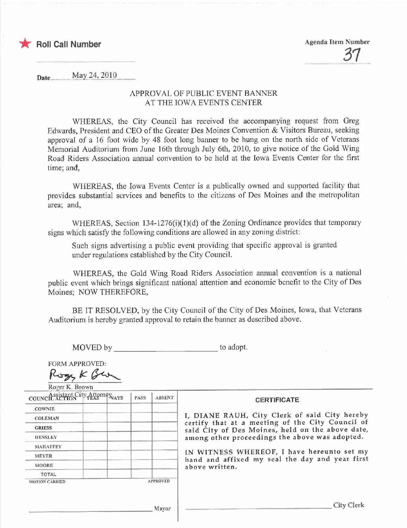

\* Roll Call Number Agenda Item Number <u>31</u>

Date.. mmJy¡¡Y)~L~919m

## APPROVAL OF PUBLIC EVENT BANNER AT THE IOWA EVENTS CENTER

WHEREAS, the City Council has received the accompanying request from Greg Edwards, President and CEO of the Greater Des Moines Convention & Visitors Bureau, seeking approval of a 16 foot wide by 48 foot long banner to be hung on the north side of Veterans Memorial Auditorium from June 16th through July 6th, 2010, to give notice of the Gold Wing Road Riders Association annual convention to be held at the Iowa Events Center for the first time; and,

WHEREAS, the Iowa Events Center is a publically owned and supported facility that provides substantial services and benefits to the citizens of Des Moines and the metropolitan area: and,

WHEREAS, Section  $134-1276(i)(1)(d)$  of the Zoning Ordinance provides that temporary signs which satisfy the following conditions are allowed in any zoning district:

Such signs advertising a public event providing that specific approval is granted under regulations established by the City CounciL.

WHEREAS, the Gold Wing Road Riders Association annual convention is a national public event which brings significant national attention and economic benefit to the City of Des Moines; NOW THEREFORE,

BE IT RESOLVED, by the City Council of the City of Des Moines, Iowa, that Veterans Auditorium is hereby granted approval to retain the banner as described above.

MOVED by to adopt.

FORM APPROVED:

MOVED by  $R_{\text{Gav}}$ <br>FORM APPROVED:<br> $R_{\text{Gav}}$   $K$   $G_{\text{Gav}}$ 

| TOWN IS DIGIN<br>council assistant City Attorney NAYS |  |  | <b>PASS</b> | <b>ABSENT</b>   | <b>CERTIFICATE</b>                                                                                                                                                                                                                                                                                                         |
|-------------------------------------------------------|--|--|-------------|-----------------|----------------------------------------------------------------------------------------------------------------------------------------------------------------------------------------------------------------------------------------------------------------------------------------------------------------------------|
| <b>COWNIE</b>                                         |  |  |             |                 | I, DIANE RAUH, City Clerk of said City hereby<br>certify that at a meeting of the City Council of<br>said City of Des Moines, held on the above date,<br>among other proceedings the above was adopted.<br>IN WITNESS WHEREOF, I have hereunto set my<br>hand and affixed my seal the day and year first<br>above written. |
| <b>COLEMAN</b>                                        |  |  |             |                 |                                                                                                                                                                                                                                                                                                                            |
| <b>GRIESS</b>                                         |  |  |             |                 |                                                                                                                                                                                                                                                                                                                            |
| <b>HENSLEY</b>                                        |  |  |             |                 |                                                                                                                                                                                                                                                                                                                            |
| <b>MAHAFFEY</b>                                       |  |  |             |                 |                                                                                                                                                                                                                                                                                                                            |
| <b>MEYER</b>                                          |  |  |             |                 |                                                                                                                                                                                                                                                                                                                            |
| <b>MOORE</b>                                          |  |  |             |                 |                                                                                                                                                                                                                                                                                                                            |
| TOTAL                                                 |  |  |             |                 |                                                                                                                                                                                                                                                                                                                            |
| <b>MOTION CARRIED</b>                                 |  |  |             | <b>APPROVED</b> |                                                                                                                                                                                                                                                                                                                            |
|                                                       |  |  |             | Mayor           | <b>City Clerk</b>                                                                                                                                                                                                                                                                                                          |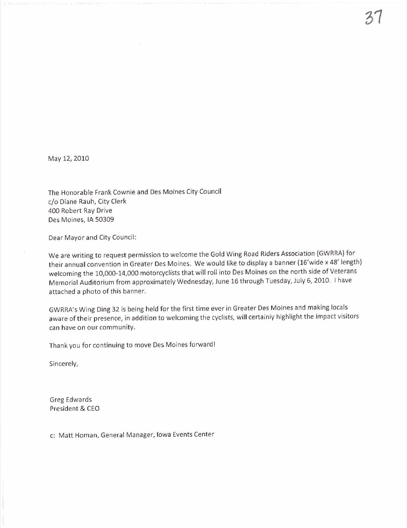May 12, 2010

The Honorable Frank Cownie and Des Moines City Council c/o Diane Rauh, City Clerk 400 Robert Ray Drive Des Moines, IA 50309

Dear Mayor and City Council:

We are writing to request permission to welcome the Gold Wing Road Riders Association (GWRRA) for their annual convention in Greater Des Moines. We would like to display a banner (16'wide x 48' length) welcoming the 10,000-14,000 motorcyclists that will roll into Des Moines on the north side of Veterans Memorial Auditorium from approximately Wednesday, June 16 through Tuesday, July 6, 2010. i have attached a photo of this banner.

GWRRA's Wing Ding 32 is being held for the first time ever in Greater Des Moines and making locals aware of their presence, in addition to welcoming the cyclists, will certainly highlight the impact visitors can have on our community.

Thank you for continuing to move Des Moines forward!

Sincerely,

Greg Edwards President & CEO

c: Matt Homan, General Manager, Iowa Events Center